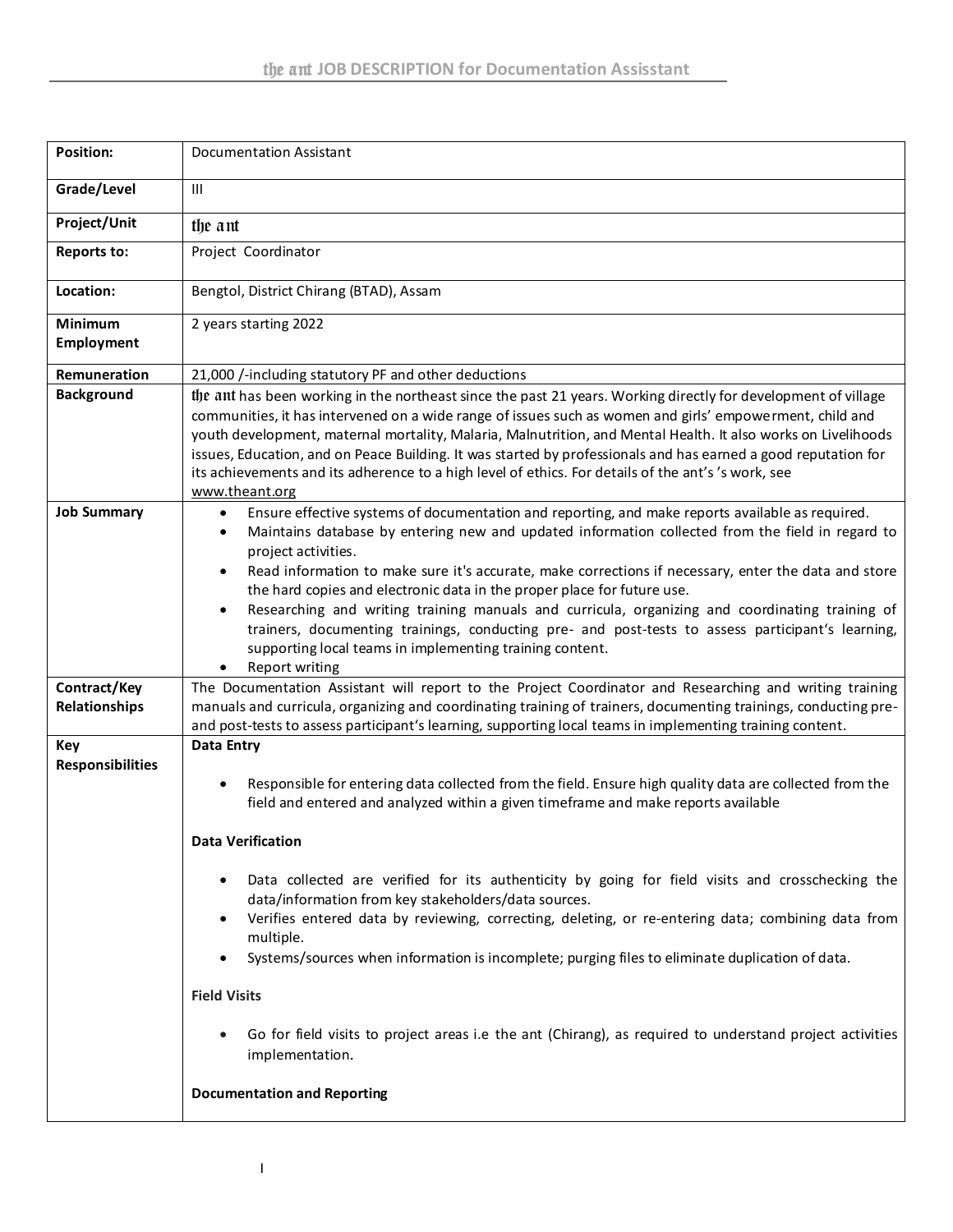| <b>Position:</b>                      | <b>Documentation Assistant</b>                                                                                                                                                                                                                                                                                                                                                                                                                                                                                                                                                                                                                                                                                                                                                                                                                     |
|---------------------------------------|----------------------------------------------------------------------------------------------------------------------------------------------------------------------------------------------------------------------------------------------------------------------------------------------------------------------------------------------------------------------------------------------------------------------------------------------------------------------------------------------------------------------------------------------------------------------------------------------------------------------------------------------------------------------------------------------------------------------------------------------------------------------------------------------------------------------------------------------------|
| Grade/Level                           | Ш                                                                                                                                                                                                                                                                                                                                                                                                                                                                                                                                                                                                                                                                                                                                                                                                                                                  |
| Project/Unit                          | the ant                                                                                                                                                                                                                                                                                                                                                                                                                                                                                                                                                                                                                                                                                                                                                                                                                                            |
| <b>Reports to:</b>                    | Project Coordinator                                                                                                                                                                                                                                                                                                                                                                                                                                                                                                                                                                                                                                                                                                                                                                                                                                |
| Location:                             | Bengtol, District Chirang (BTAD), Assam                                                                                                                                                                                                                                                                                                                                                                                                                                                                                                                                                                                                                                                                                                                                                                                                            |
| <b>Minimum</b><br><b>Employment</b>   | 2 years starting 2022                                                                                                                                                                                                                                                                                                                                                                                                                                                                                                                                                                                                                                                                                                                                                                                                                              |
| Remuneration                          | 21,000 /-including statutory PF and other deductions                                                                                                                                                                                                                                                                                                                                                                                                                                                                                                                                                                                                                                                                                                                                                                                               |
| <b>Background</b>                     | the ant has been working in the northeast since the past 21 years. Working directly for development of village<br>communities, it has intervened on a wide range of issues such as women and girls' empowerment, child and<br>youth development, maternal mortality, Malaria, Malnutrition, and Mental Health. It also works on Livelihoods<br>issues, Education, and on Peace Building. It was started by professionals and has earned a good reputation for<br>its achievements and its adherence to a high level of ethics. For details of the ant's 's work, see<br>www.theant.org                                                                                                                                                                                                                                                             |
| <b>Job Summary</b>                    | Ensure effective systems of documentation and reporting, and make reports available as required.<br>٠<br>Maintains database by entering new and updated information collected from the field in regard to<br>٠<br>project activities.<br>Read information to make sure it's accurate, make corrections if necessary, enter the data and store<br>$\bullet$<br>the hard copies and electronic data in the proper place for future use.<br>Researching and writing training manuals and curricula, organizing and coordinating training of<br>$\bullet$<br>trainers, documenting trainings, conducting pre- and post-tests to assess participant's learning,<br>supporting local teams in implementing training content.<br>Report writing<br>٠                                                                                                      |
| Contract/Key<br>Relationships         | The Documentation Assistant will report to the Project Coordinator and Researching and writing training<br>manuals and curricula, organizing and coordinating training of trainers, documenting trainings, conducting pre-<br>and post-tests to assess participant's learning, supporting local teams in implementing training content.                                                                                                                                                                                                                                                                                                                                                                                                                                                                                                            |
| <b>Key</b><br><b>Responsibilities</b> | Data Entry<br>Responsible for entering data collected from the field. Ensure high quality data are collected from the<br>٠<br>field and entered and analyzed within a given timeframe and make reports available<br>Data Verification<br>Data collected are verified for its authenticity by going for field visits and crosschecking the<br>٠<br>data/information from key stakeholders/data sources.<br>Verifies entered data by reviewing, correcting, deleting, or re-entering data; combining data from<br>$\bullet$<br>multiple.<br>Systems/sources when information is incomplete; purging files to eliminate duplication of data.<br>$\bullet$<br><b>Field Visits</b><br>Go for field visits to project areas i.e the ant (Chirang), as required to understand project activities<br>implementation.<br><b>Documentation and Reporting</b> |